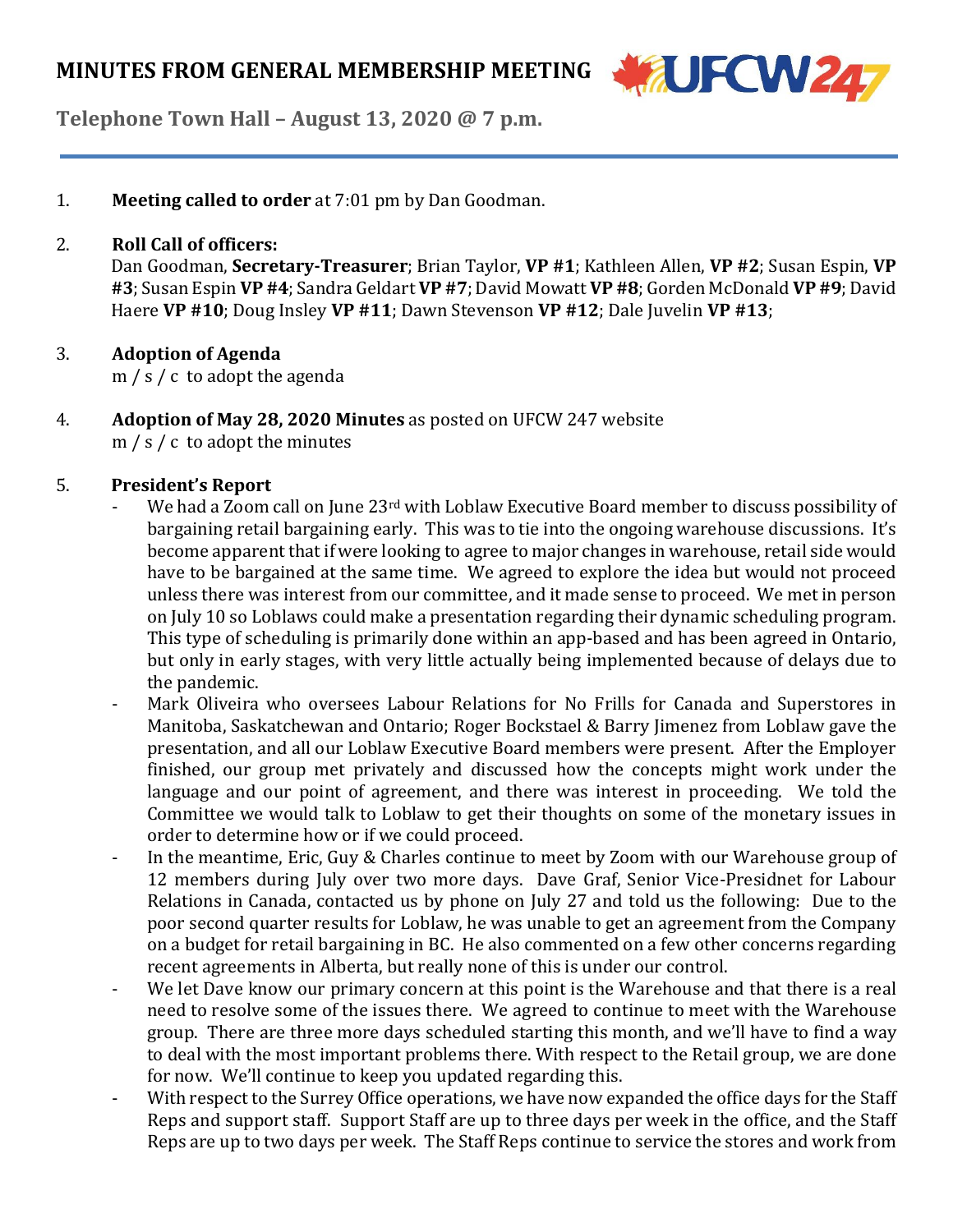

**Telephone Town Hall – August 13, 2020 @ 7 p.m.**

1. **Meeting called to order** at 7:01 pm by Dan Goodman.

## 2. **Roll Call of officers:**

Dan Goodman, **Secretary-Treasurer**; Brian Taylor, **VP #1**; Kathleen Allen, **VP #2**; Susan Espin, **VP #3**;Susan Espin **VP #4**;Sandra Geldart **VP #7**; David Mowatt **VP #8**; Gorden McDonald **VP #9**; David Haere **VP #10**; Doug Insley **VP #11**; Dawn Stevenson **VP #12**; Dale Juvelin **VP #13**;

# 3. **Adoption of Agenda**

m / s / c to adopt the agenda

4. **Adoption of May 28, 2020 Minutes** as posted on UFCW 247 website  $m / s / c$  to adopt the minutes

# 5. **President's Report**

- We had a Zoom call on June 23<sup>rd</sup> with Loblaw Executive Board member to discuss possibility of bargaining retail bargaining early. This was to tie into the ongoing warehouse discussions. It's become apparent that if were looking to agree to major changes in warehouse, retail side would have to be bargained at the same time. We agreed to explore the idea but would not proceed unless there was interest from our committee, and it made sense to proceed. We met in person on July 10 so Loblaws could make a presentation regarding their dynamic scheduling program. This type of scheduling is primarily done within an app-based and has been agreed in Ontario, but only in early stages, with very little actually being implemented because of delays due to the pandemic.
- Mark Oliveira who oversees Labour Relations for No Frills for Canada and Superstores in Manitoba, Saskatchewan and Ontario; Roger Bockstael & Barry Jimenez from Loblaw gave the presentation, and all our Loblaw Executive Board members were present. After the Employer finished, our group met privately and discussed how the concepts might work under the language and our point of agreement, and there was interest in proceeding. We told the Committee we would talk to Loblaw to get their thoughts on some of the monetary issues in order to determine how or if we could proceed.
- In the meantime, Eric, Guy & Charles continue to meet by Zoom with our Warehouse group of 12 members during July over two more days. Dave Graf, Senior Vice-Presidnet for Labour Relations in Canada, contacted us by phone on July 27 and told us the following: Due to the poor second quarter results for Loblaw, he was unable to get an agreement from the Company on a budget for retail bargaining in BC. He also commented on a few other concerns regarding recent agreements in Alberta, but really none of this is under our control.
- We let Dave know our primary concern at this point is the Warehouse and that there is a real need to resolve some of the issues there. We agreed to continue to meet with the Warehouse group. There are three more days scheduled starting this month, and we'll have to find a way to deal with the most important problems there. With respect to the Retail group, we are done for now. We'll continue to keep you updated regarding this.
- With respect to the Surrey Office operations, we have now expanded the office days for the Staff Reps and support staff. Support Staff are up to three days per week in the office, and the Staff Reps are up to two days per week. The Staff Reps continue to service the stores and work from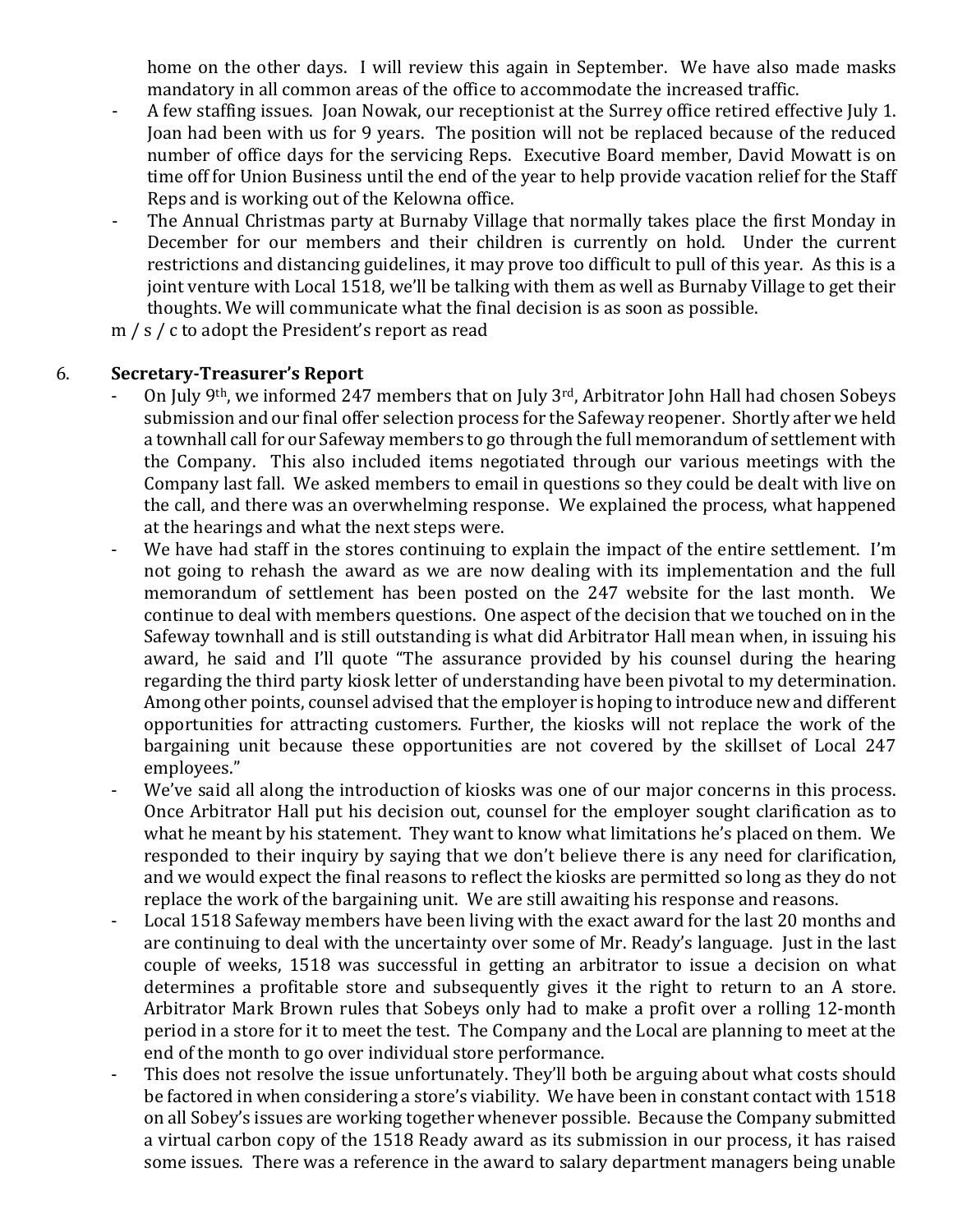home on the other days. I will review this again in September. We have also made masks mandatory in all common areas of the office to accommodate the increased traffic.

- A few staffing issues. Joan Nowak, our receptionist at the Surrey office retired effective July 1. Joan had been with us for 9 years. The position will not be replaced because of the reduced number of office days for the servicing Reps. Executive Board member, David Mowatt is on time off for Union Business until the end of the year to help provide vacation relief for the Staff Reps and is working out of the Kelowna office.
- The Annual Christmas party at Burnaby Village that normally takes place the first Monday in December for our members and their children is currently on hold. Under the current restrictions and distancing guidelines, it may prove too difficult to pull of this year. As this is a joint venture with Local 1518, we'll be talking with them as well as Burnaby Village to get their thoughts. We will communicate what the final decision is as soon as possible.

m / s / c to adopt the President's report as read

### 6. **Secretary-Treasurer's Report**

- On July 9th, we informed 247 members that on July 3rd, Arbitrator John Hall had chosen Sobeys submission and our final offer selection process for the Safeway reopener. Shortly after we held a townhall call for our Safeway members to go through the full memorandum of settlement with the Company. This also included items negotiated through our various meetings with the Company last fall. We asked members to email in questions so they could be dealt with live on the call, and there was an overwhelming response. We explained the process, what happened at the hearings and what the next steps were.
- We have had staff in the stores continuing to explain the impact of the entire settlement. I'm not going to rehash the award as we are now dealing with its implementation and the full memorandum of settlement has been posted on the 247 website for the last month. We continue to deal with members questions. One aspect of the decision that we touched on in the Safeway townhall and is still outstanding is what did Arbitrator Hall mean when, in issuing his award, he said and I'll quote "The assurance provided by his counsel during the hearing regarding the third party kiosk letter of understanding have been pivotal to my determination. Among other points, counsel advised that the employer is hoping to introduce new and different opportunities for attracting customers. Further, the kiosks will not replace the work of the bargaining unit because these opportunities are not covered by the skillset of Local 247 employees."
- We've said all along the introduction of kiosks was one of our major concerns in this process. Once Arbitrator Hall put his decision out, counsel for the employer sought clarification as to what he meant by his statement. They want to know what limitations he's placed on them. We responded to their inquiry by saying that we don't believe there is any need for clarification, and we would expect the final reasons to reflect the kiosks are permitted so long as they do not replace the work of the bargaining unit. We are still awaiting his response and reasons.
- Local 1518 Safeway members have been living with the exact award for the last 20 months and are continuing to deal with the uncertainty over some of Mr. Ready's language. Just in the last couple of weeks, 1518 was successful in getting an arbitrator to issue a decision on what determines a profitable store and subsequently gives it the right to return to an A store. Arbitrator Mark Brown rules that Sobeys only had to make a profit over a rolling 12-month period in a store for it to meet the test. The Company and the Local are planning to meet at the end of the month to go over individual store performance.
- This does not resolve the issue unfortunately. They'll both be arguing about what costs should be factored in when considering a store's viability. We have been in constant contact with 1518 on all Sobey's issues are working together whenever possible. Because the Company submitted a virtual carbon copy of the 1518 Ready award as its submission in our process, it has raised some issues. There was a reference in the award to salary department managers being unable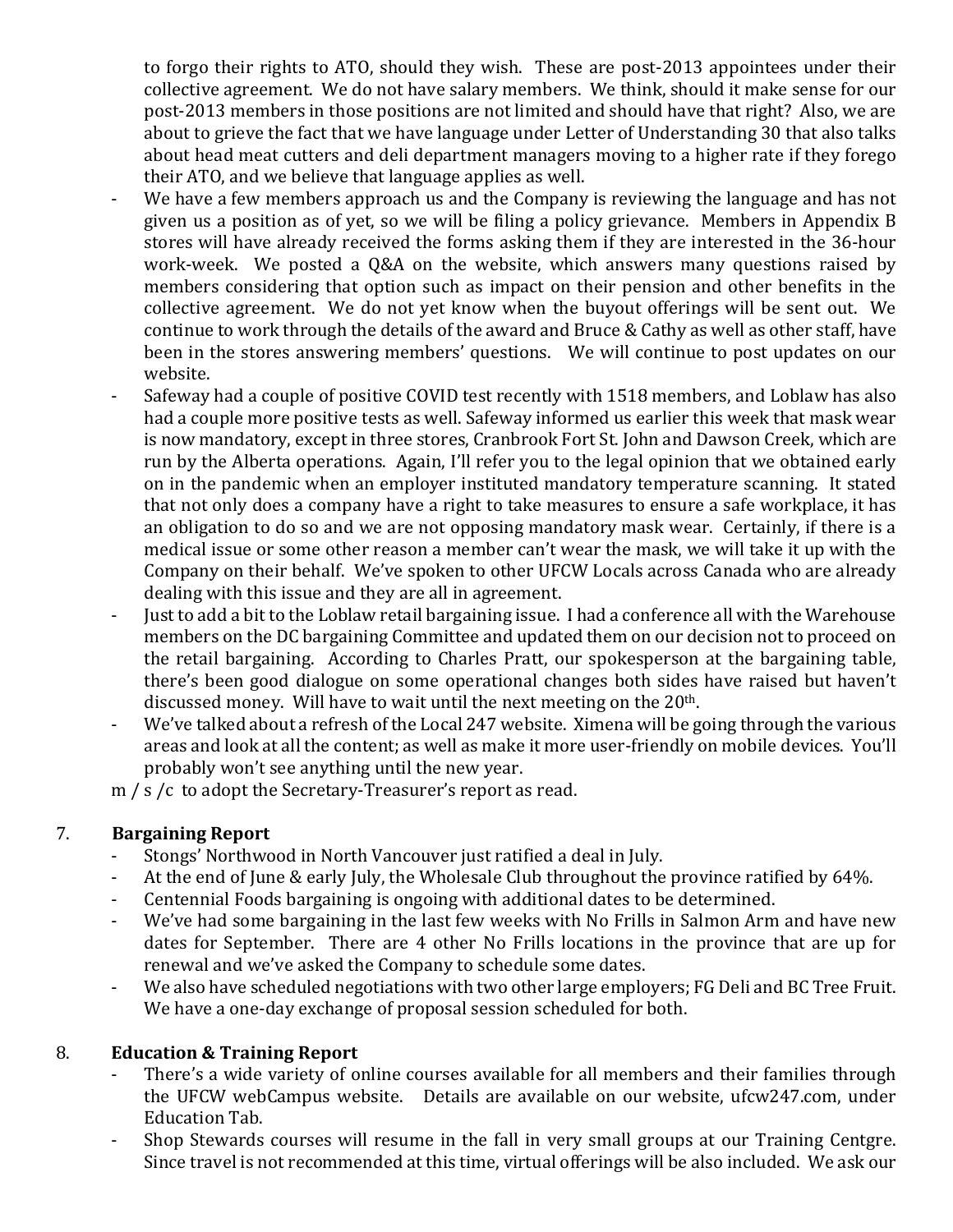to forgo their rights to ATO, should they wish. These are post-2013 appointees under their collective agreement. We do not have salary members. We think, should it make sense for our post-2013 members in those positions are not limited and should have that right? Also, we are about to grieve the fact that we have language under Letter of Understanding 30 that also talks about head meat cutters and deli department managers moving to a higher rate if they forego their ATO, and we believe that language applies as well.

- We have a few members approach us and the Company is reviewing the language and has not given us a position as of yet, so we will be filing a policy grievance. Members in Appendix B stores will have already received the forms asking them if they are interested in the 36-hour work-week. We posted a Q&A on the website, which answers many questions raised by members considering that option such as impact on their pension and other benefits in the collective agreement. We do not yet know when the buyout offerings will be sent out. We continue to work through the details of the award and Bruce & Cathy as well as other staff, have been in the stores answering members' questions. We will continue to post updates on our website.
- Safeway had a couple of positive COVID test recently with 1518 members, and Loblaw has also had a couple more positive tests as well. Safeway informed us earlier this week that mask wear is now mandatory, except in three stores, Cranbrook Fort St. John and Dawson Creek, which are run by the Alberta operations. Again, I'll refer you to the legal opinion that we obtained early on in the pandemic when an employer instituted mandatory temperature scanning. It stated that not only does a company have a right to take measures to ensure a safe workplace, it has an obligation to do so and we are not opposing mandatory mask wear. Certainly, if there is a medical issue or some other reason a member can't wear the mask, we will take it up with the Company on their behalf. We've spoken to other UFCW Locals across Canada who are already dealing with this issue and they are all in agreement.
- Just to add a bit to the Loblaw retail bargaining issue. I had a conference all with the Warehouse members on the DC bargaining Committee and updated them on our decision not to proceed on the retail bargaining. According to Charles Pratt, our spokesperson at the bargaining table, there's been good dialogue on some operational changes both sides have raised but haven't discussed money. Will have to wait until the next meeting on the 20<sup>th</sup>.
- We've talked about a refresh of the Local 247 website. Ximena will be going through the various areas and look at all the content; as well as make it more user-friendly on mobile devices. You'll probably won't see anything until the new year.

m / s /c to adopt the Secretary-Treasurer's report as read.

# 7. **Bargaining Report**

- Stongs' Northwood in North Vancouver just ratified a deal in July.
- At the end of June & early July, the Wholesale Club throughout the province ratified by 64%.
- Centennial Foods bargaining is ongoing with additional dates to be determined.
- We've had some bargaining in the last few weeks with No Frills in Salmon Arm and have new dates for September. There are 4 other No Frills locations in the province that are up for renewal and we've asked the Company to schedule some dates.
- We also have scheduled negotiations with two other large employers; FG Deli and BC Tree Fruit. We have a one-day exchange of proposal session scheduled for both.

# 8. **Education & Training Report**

- There's a wide variety of online courses available for all members and their families through the UFCW webCampus website. Details are available on our website, ufcw247.com, under Education Tab.
- Shop Stewards courses will resume in the fall in very small groups at our Training Centgre. Since travel is not recommended at this time, virtual offerings will be also included. We ask our